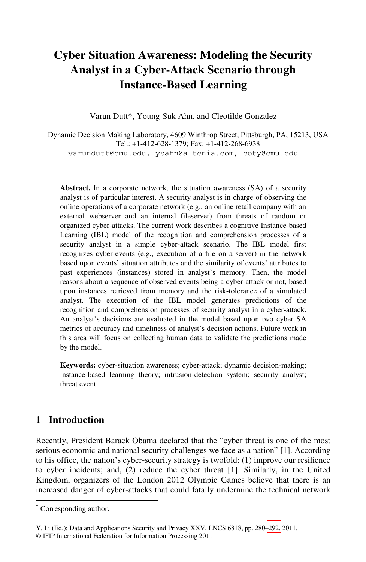# **Cyber Situation Awareness: Modeling the Security Analyst in a Cyber-Attack Scenario through Instance-Based Learning**

Varun Dutt\*, Young-Suk Ahn, and Cleotilde Gonzalez

Dynamic Decision Making Laboratory, 4609 Winthrop Street, Pittsburgh, PA, 15213, USA Tel.: +1-412-628-1379; Fax: +1-412-268-6938 varundutt@cmu.edu, ysahn@altenia.com, coty@cmu.edu

**Abstract.** In a corporate network, the situation awareness (SA) of a security analyst is of particular interest. A security analyst is in charge of observing the online operations of a corporate network (e.g., an online retail company with an external webserver and an internal fileserver) from threats of random or organized cyber-attacks. The current work describes a cognitive Instance-based Learning (IBL) model of the recognition and comprehension processes of a security analyst in a simple cyber-attack scenario. The IBL model first recognizes cyber-events (e.g., execution of a file on a server) in the network based upon events' situation attributes and the similarity of events' attributes to past experiences (instances) stored in analyst's memory. Then, the model reasons about a sequence of observed events being a cyber-attack or not, based upon instances retrieved from memory and the risk-tolerance of a simulated analyst. The execution of the IBL model generates predictions of the recognition and comprehension processes of security analyst in a cyber-attack. An analyst's decisions are evaluated in the model based upon two cyber SA metrics of accuracy and timeliness of analyst's decision actions. Future work in this area will focus on collecting human data to validate the predictions made by the model.

**Keywords:** cyber-situation awareness; cyber-attack; dynamic decision-making; instance-based learning theory; intrusion-detection system; security analyst; threat event.

### **1 Introduction**

Recently, President Barack Obama declared that the "cyber threat is one of the most serious economic and national security challen[ges w](#page-12-0)e face as a nation" [1]. According to his office, the nation's cyber-security strategy is twofold: (1) improve our resilience to cyber incidents; and, (2) reduce the cyber threat [1]. Similarly, in the United Kingdom, organizers of the London 2012 Olympic Games believe that there is an increased danger of cyber-attacks that could fatally undermine the technical network

j

<sup>\*</sup> Corresponding author.

Y. Li (Ed.): Data and Applications Security and Privacy XXV, LNCS 6818, pp. 280–292, 2011.

<sup>©</sup> IFIP International Federation for Information Processing 2011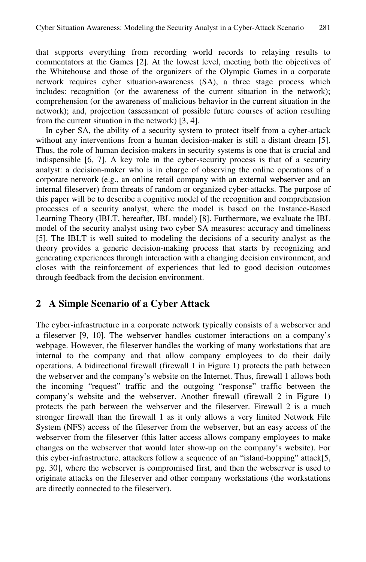that supports everything from recording world records to relaying results to commentators at the Games [2]. At the lowest level, meeting both the objectives of the Whitehouse and those of the organizers of the Olympic Games in a corporate network requires cyber situation-awareness (SA), a three stage process which includes: recognition (or the awareness of the current situation in the network); comprehension (or the awareness of malicious behavior in the current situation in the network); and, projection (assessment of possible future courses of action resulting from the current situation in the network) [3, 4].

In cyber SA, the ability of a security system to protect itself from a cyber-attack without any interventions from a human decision-maker is still a distant dream [5]. Thus, the role of human decision-makers in security systems is one that is crucial and indispensible [6, 7]. A key role in the cyber-security process is that of a security analyst: a decision-maker who is in charge of observing the online operations of a corporate network (e.g., an online retail company with an external webserver and an internal fileserver) from threats of random or organized cyber-attacks. The purpose of this paper will be to describe a cognitive model of the recognition and comprehension processes of a security analyst, where the model is based on the Instance-Based Learning Theory (IBLT, hereafter, IBL model) [8]. Furthermore, we evaluate the IBL model of the security analyst using two cyber SA measures: accuracy and timeliness [5]. The IBLT is well suited to modeling the decisions of a security analyst as the theory provides a generic decision-making process that starts by recognizing and generating experiences through interaction with a changing decision environment, and closes with the reinforcement of experiences that led to good decision outcomes through feedback from the decision environment.

### **2 A Simple Scenario of a Cyber Attack**

The cyber-infrastructure in a corporate network typically consists of a webserver and a fileserver [9, 10]. The webserver handles customer interactions on a company's webpage. However, the fileserver handles the working of many workstations that are internal to the company and that allow company employees to do their daily operations. A bidirectional firewall (firewall 1 in Figure 1) protects the path between the webserver and the company's website on the Internet. Thus, firewall 1 allows both the incoming "request" traffic and the outgoing "response" traffic between the company's website and the webserver. Another firewall (firewall 2 in Figure 1) protects the path between the webserver and the fileserver. Firewall 2 is a much stronger firewall than the firewall 1 as it only allows a very limited Network File System (NFS) access of the fileserver from the webserver, but an easy access of the webserver from the fileserver (this latter access allows company employees to make changes on the webserver that would later show-up on the company's website). For this cyber-infrastructure, attackers follow a sequence of an "island-hopping" attack[5, pg. 30], where the webserver is compromised first, and then the webserver is used to originate attacks on the fileserver and other company workstations (the workstations are directly connected to the fileserver).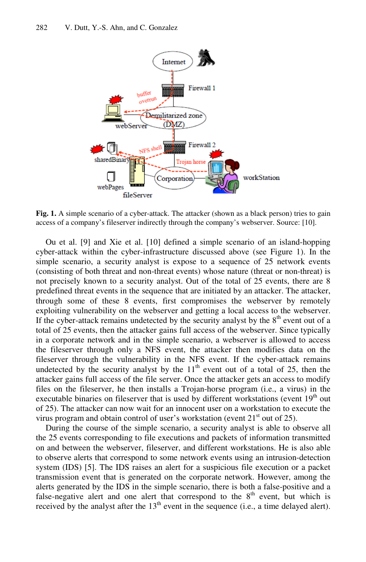

**Fig. 1.** A simple scenario of a cyber-attack. The attacker (shown as a black person) tries to gain access of a company's fileserver indirectly through the company's webserver. Source: [10].

Ou et al. [9] and Xie et al. [10] defined a simple scenario of an island-hopping cyber-attack within the cyber-infrastructure discussed above (see Figure 1). In the simple scenario, a security analyst is expose to a sequence of 25 network events (consisting of both threat and non-threat events) whose nature (threat or non-threat) is not precisely known to a security analyst. Out of the total of 25 events, there are 8 predefined threat events in the sequence that are initiated by an attacker. The attacker, through some of these 8 events, first compromises the webserver by remotely exploiting vulnerability on the webserver and getting a local access to the webserver. If the cyber-attack remains undetected by the security analyst by the  $8<sup>th</sup>$  event out of a total of 25 events, then the attacker gains full access of the webserver. Since typically in a corporate network and in the simple scenario, a webserver is allowed to access the fileserver through only a NFS event, the attacker then modifies data on the fileserver through the vulnerability in the NFS event. If the cyber-attack remains undetected by the security analyst by the  $11<sup>th</sup>$  event out of a total of 25, then the attacker gains full access of the file server. Once the attacker gets an access to modify files on the fileserver, he then installs a Trojan-horse program (i.e., a virus) in the executable binaries on fileserver that is used by different workstations (event  $19<sup>th</sup>$  out of 25). The attacker can now wait for an innocent user on a workstation to execute the virus program and obtain control of user's workstation (event  $21<sup>st</sup>$  out of 25).

During the course of the simple scenario, a security analyst is able to observe all the 25 events corresponding to file executions and packets of information transmitted on and between the webserver, fileserver, and different workstations. He is also able to observe alerts that correspond to some network events using an intrusion-detection system (IDS) [5]. The IDS raises an alert for a suspicious file execution or a packet transmission event that is generated on the corporate network. However, among the alerts generated by the IDS in the simple scenario, there is both a false-positive and a false-negative alert and one alert that correspond to the  $8<sup>th</sup>$  event, but which is received by the analyst after the  $13<sup>th</sup>$  event in the sequence (i.e., a time delayed alert).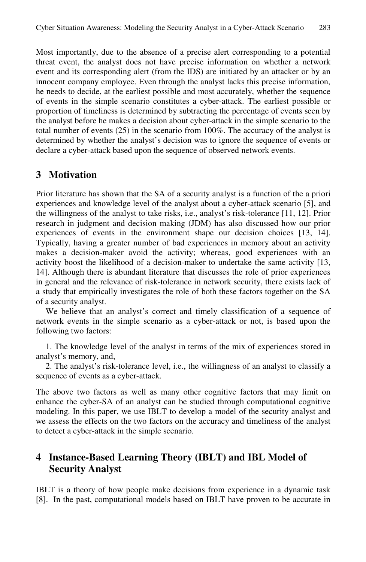Most importantly, due to the absence of a precise alert corresponding to a potential threat event, the analyst does not have precise information on whether a network event and its corresponding alert (from the IDS) are initiated by an attacker or by an innocent company employee. Even through the analyst lacks this precise information, he needs to decide, at the earliest possible and most accurately, whether the sequence of events in the simple scenario constitutes a cyber-attack. The earliest possible or proportion of timeliness is determined by subtracting the percentage of events seen by the analyst before he makes a decision about cyber-attack in the simple scenario to the total number of events (25) in the scenario from 100%. The accuracy of the analyst is determined by whether the analyst's decision was to ignore the sequence of events or declare a cyber-attack based upon the sequence of observed network events.

### **3 Motivation**

Prior literature has shown that the SA of a security analyst is a function of the a priori experiences and knowledge level of the analyst about a cyber-attack scenario [5], and the willingness of the analyst to take risks, i.e., analyst's risk-tolerance [11, 12]. Prior research in judgment and decision making (JDM) has also discussed how our prior experiences of events in the environment shape our decision choices [13, 14]. Typically, having a greater number of bad experiences in memory about an activity makes a decision-maker avoid the activity; whereas, good experiences with an activity boost the likelihood of a decision-maker to undertake the same activity [13, 14]. Although there is abundant literature that discusses the role of prior experiences in general and the relevance of risk-tolerance in network security, there exists lack of a study that empirically investigates the role of both these factors together on the SA of a security analyst.

We believe that an analyst's correct and timely classification of a sequence of network events in the simple scenario as a cyber-attack or not, is based upon the following two factors:

1. The knowledge level of the analyst in terms of the mix of experiences stored in analyst's memory, and,

2. The analyst's risk-tolerance level, i.e., the willingness of an analyst to classify a sequence of events as a cyber-attack.

The above two factors as well as many other cognitive factors that may limit on enhance the cyber-SA of an analyst can be studied through computational cognitive modeling. In this paper, we use IBLT to develop a model of the security analyst and we assess the effects on the two factors on the accuracy and timeliness of the analyst to detect a cyber-attack in the simple scenario.

### **4 Instance-Based Learning Theory (IBLT) and IBL Model of Security Analyst**

IBLT is a theory of how people make decisions from experience in a dynamic task [8]. In the past, computational models based on IBLT have proven to be accurate in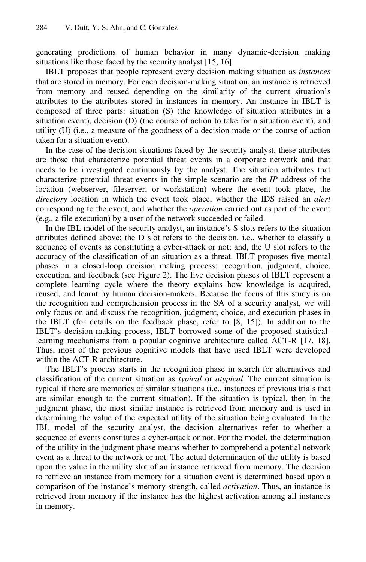generating predictions of human behavior in many dynamic-decision making situations like those faced by the security analyst [15, 16].

IBLT proposes that people represent every decision making situation as *instances* that are stored in memory. For each decision-making situation, an instance is retrieved from memory and reused depending on the similarity of the current situation's attributes to the attributes stored in instances in memory. An instance in IBLT is composed of three parts: situation (S) (the knowledge of situation attributes in a situation event), decision (D) (the course of action to take for a situation event), and utility (U) (i.e., a measure of the goodness of a decision made or the course of action taken for a situation event).

In the case of the decision situations faced by the security analyst, these attributes are those that characterize potential threat events in a corporate network and that needs to be investigated continuously by the analyst. The situation attributes that characterize potential threat events in the simple scenario are the *IP* address of the location (webserver, fileserver, or workstation) where the event took place, the *directory* location in which the event took place, whether the IDS raised an *alert* corresponding to the event, and whether the *operation* carried out as part of the event (e.g., a file execution) by a user of the network succeeded or failed.

In the IBL model of the security analyst, an instance's S slots refers to the situation attributes defined above; the D slot refers to the decision, i.e., whether to classify a sequence of events as constituting a cyber-attack or not; and, the U slot refers to the accuracy of the classification of an situation as a threat. IBLT proposes five mental phases in a closed-loop decision making process: recognition, judgment, choice, execution, and feedback (see Figure 2). The five decision phases of IBLT represent a complete learning cycle where the theory explains how knowledge is acquired, reused, and learnt by human decision-makers. Because the focus of this study is on the recognition and comprehension process in the SA of a security analyst, we will only focus on and discuss the recognition, judgment, choice, and execution phases in the IBLT (for details on the feedback phase, refer to [8, 15]). In addition to the IBLT's decision-making process, IBLT borrowed some of the proposed statisticallearning mechanisms from a popular cognitive architecture called ACT-R [17, 18]. Thus, most of the previous cognitive models that have used IBLT were developed within the ACT-R architecture.

The IBLT's process starts in the recognition phase in search for alternatives and classification of the current situation as *typical* or *atypical*. The current situation is typical if there are memories of similar situations (i.e., instances of previous trials that are similar enough to the current situation). If the situation is typical, then in the judgment phase, the most similar instance is retrieved from memory and is used in determining the value of the expected utility of the situation being evaluated. In the IBL model of the security analyst, the decision alternatives refer to whether a sequence of events constitutes a cyber-attack or not. For the model, the determination of the utility in the judgment phase means whether to comprehend a potential network event as a threat to the network or not. The actual determination of the utility is based upon the value in the utility slot of an instance retrieved from memory. The decision to retrieve an instance from memory for a situation event is determined based upon a comparison of the instance's memory strength, called *activation*. Thus, an instance is retrieved from memory if the instance has the highest activation among all instances in memory.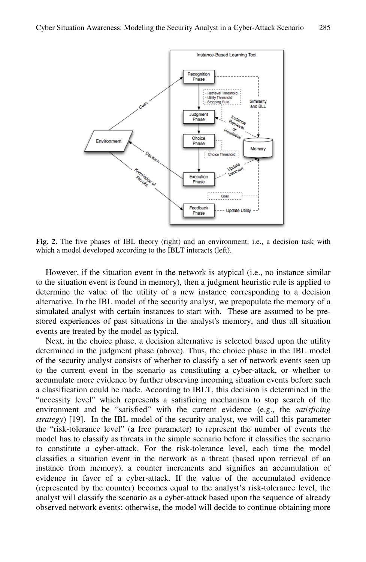

Fig. 2. The five phases of IBL theory (right) and an environment, i.e., a decision task with which a model developed according to the IBLT interacts (left).

However, if the situation event in the network is atypical (i.e., no instance similar to the situation event is found in memory), then a judgment heuristic rule is applied to determine the value of the utility of a new instance corresponding to a decision alternative. In the IBL model of the security analyst, we prepopulate the memory of a simulated analyst with certain instances to start with. These are assumed to be prestored experiences of past situations in the analyst's memory, and thus all situation events are treated by the model as typical.

Next, in the choice phase, a decision alternative is selected based upon the utility determined in the judgment phase (above). Thus, the choice phase in the IBL model of the security analyst consists of whether to classify a set of network events seen up to the current event in the scenario as constituting a cyber-attack, or whether to accumulate more evidence by further observing incoming situation events before s uch a classification could be made. According to IBLT, this decision is determined in the "necessity level" which represents a satisficing mechanism to stop search of the environment and be "satisfied" with the current evidence (e.g., the *satisficing* strategy) [19]. In the IBL model of the security analyst, we will call this parameter the "risk-tolerance level" ( (a free parameter) to represent the number of events the model has to classify as threats in the simple scenario before it classifies the scenario to constitute a cyber-attack. For the risk-tolerance level, each time the model classifies a situation event in the network as a threat (based upon retrieval of an instance from memory), a counter increments and signifies an accumulation of evidence in favor of a cyber-attack. If the value of the accumulated evidence (represented by the counter) becomes equal to the analyst's risk-tolerance level, the analyst will classify the scenario as a cyber-attack based upon the sequence of already observed network events; otherwise, the model will decide to continue obtaining more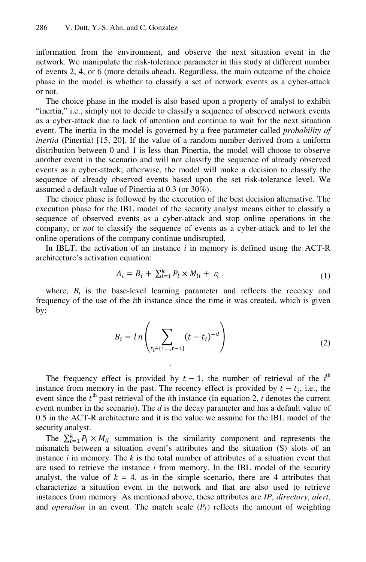information from the environment, and observe the next situation event in the network. We manipulate the risk-tolerance parameter in this study at different number of events 2, 4, or 6 (more details ahead). Regardless, the main outcome of the choice phase in the model is whether to classify a set of network events as a cyber-attack or not.

The choice phase in the model is also based upon a property of analyst to exhibit "inertia," i.e., simply not to decide to classify a sequence of observed network events as a cyber-attack due to lack of attention and continue to wait for the next situation event. The inertia in the model is governed by a free parameter called *probability of inertia* (Pinertia) [15, 20]. If the value of a random number derived from a uniform distribution between 0 and 1 is less than Pinertia, the model will choose to observe another event in the scenario and will not classify the sequence of already observed events as a cyber-attack; otherwise, the model will make a decision to classify the sequence of already observed events based upon the set risk-tolerance level. We assumed a default value of Pinertia at 0.3 (or 30%).

The choice phase is followed by the execution of the best decision alternative. The execution phase for the IBL model of the security analyst means either to classify a sequence of observed events as a cyber-attack and stop online operations in the company, or *not* to classify the sequence of events as a cyber-attack and to let the online operations of the company continue undisrupted.

In IBLT, the activation of an instance  $i$  in memory is defined using the ACT-R architecture's activation equation:

$$
A_i = B_i + \sum_{l=1}^{k} P_l \times M_{li} + \varepsilon_i \,. \tag{1}
$$

where,  $B_i$  is the base-level learning parameter and reflects the recency and frequency of the use of the *i*th instance since the time it was created, which is given by:

$$
B_i = ln\left(\sum_{t_i \in \{1, \dots, t-1\}} (t - t_i)^{-d}\right)
$$
 (2)

The frequency effect is provided by  $t-1$ , the number of retrieval of the  $i<sup>th</sup>$ instance from memory in the past. The recency effect is provided by  $t - t_i$ , i.e., the event since the  $t<sup>th</sup>$  past retrieval of the *i*th instance (in equation 2,  $t$  denotes the current event number in the scenario). The *d* is the decay parameter and has a default value of 0.5 in the ACT-R architecture and it is the value we assume for the IBL model of the security analyst.

.

The  $\sum_{l=1}^{k} P_l \times M_{li}$  summation is the similarity component and represents the mismatch between a situation event's attributes and the situation (S) slots of an instance  $i$  in memory. The  $k$  is the total number of attributes of a situation event that are used to retrieve the instance  $i$  from memory. In the IBL model of the security analyst, the value of  $k = 4$ , as in the simple scenario, there are 4 attributes that characterize a situation event in the network and that are also used to retrieve instances from memory. As mentioned above, these attributes are *IP*, *directory*, *alert*, and *operation* in an event. The match scale  $(P<sub>l</sub>)$  reflects the amount of weighting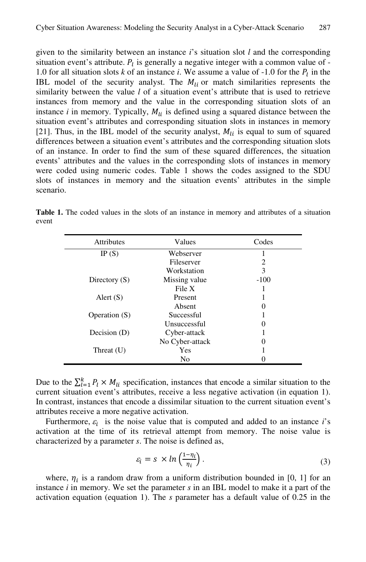given to the similarity between an instance *i*'s situation slot *l* and the corresponding situation event's attribute.  $P_l$  is generally a negative integer with a common value of -1.0 for all situation slots  $k$  of an instance  $i$ . We assume a value of  $-1.0$  for the  $P_i$  in the IBL model of the security analyst. The  $M_{li}$  or match similarities represents the similarity between the value *l* of a situation event's attribute that is used to retrieve instances from memory and the value in the corresponding situation slots of an instance  $i$  in memory. Typically,  $M_{ij}$  is defined using a squared distance between the situation event's attributes and corresponding situation slots in instances in memory [21]. Thus, in the IBL model of the security analyst,  $M_{ij}$  is equal to sum of squared differences between a situation event's attributes and the corresponding situation slots of an instance. In order to find the sum of these squared differences, the situation events' attributes and the values in the corresponding slots of instances in memory were coded using numeric codes. Table 1 shows the codes assigned to the SDU slots of instances in memory and the situation events' attributes in the simple scenario.

| <b>Attributes</b> | Values          | Codes                       |
|-------------------|-----------------|-----------------------------|
| IP $(S)$          | Webserver       |                             |
|                   | Fileserver      | $\mathcal{D}_{\mathcal{L}}$ |
|                   | Workstation     | 3                           |
| Directory $(S)$   | Missing value   | $-100$                      |
|                   | File X          |                             |
| Alert $(S)$       | Present         |                             |
|                   | Absent          |                             |
| Operation $(S)$   | Successful      |                             |
|                   | Unsuccessful    |                             |
| Decision (D)      | Cyber-attack    |                             |
|                   | No Cyber-attack |                             |
| Threat $(U)$      | <b>Yes</b>      |                             |
|                   | No              |                             |

**Table 1.** The coded values in the slots of an instance in memory and attributes of a situation event

Due to the  $\sum_{l=1}^{k} P_l \times M_{li}$  specification, instances that encode a similar situation to the current situation event's attributes, receive a less negative activation (in equation 1). In contrast, instances that encode a dissimilar situation to the current situation event's attributes receive a more negative activation.

Furthermore,  $\varepsilon_i$  is the noise value that is computed and added to an instance *i*'s activation at the time of its retrieval attempt from memory. The noise value is characterized by a parameter *s*. The noise is defined as,

$$
\varepsilon_i = s \times \ln\left(\frac{1 - \eta_i}{\eta_i}\right). \tag{3}
$$

where,  $\eta_i$  is a random draw from a uniform distribution bounded in [0, 1] for an instance *i* in memory. We set the parameter *s* in an IBL model to make it a part of the activation equation (equation 1). The *s* parameter has a default value of 0.25 in the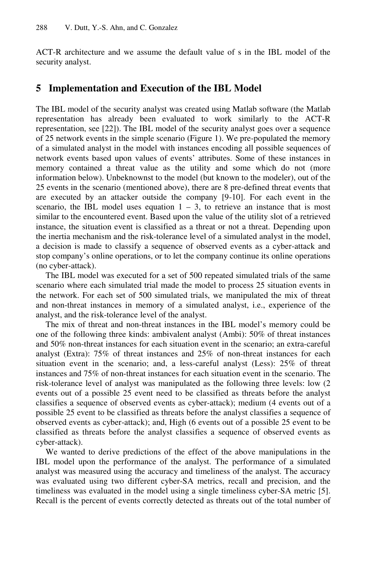ACT-R architecture and we assume the default value of s in the IBL model of the security analyst.

#### **5 Implementation and Execution of the IBL Model**

The IBL model of the security analyst was created using Matlab software (the Matlab representation has already been evaluated to work similarly to the ACT-R representation, see [22]). The IBL model of the security analyst goes over a sequence of 25 network events in the simple scenario (Figure 1). We pre-populated the memory of a simulated analyst in the model with instances encoding all possible sequences of network events based upon values of events' attributes. Some of these instances in memory contained a threat value as the utility and some which do not (more information below). Unbeknownst to the model (but known to the modeler), out of the 25 events in the scenario (mentioned above), there are 8 pre-defined threat events that are executed by an attacker outside the company [9-10]. For each event in the scenario, the IBL model uses equation  $1 - 3$ , to retrieve an instance that is most similar to the encountered event. Based upon the value of the utility slot of a retrieved instance, the situation event is classified as a threat or not a threat. Depending upon the inertia mechanism and the risk-tolerance level of a simulated analyst in the model, a decision is made to classify a sequence of observed events as a cyber-attack and stop company's online operations, or to let the company continue its online operations (no cyber-attack).

The IBL model was executed for a set of 500 repeated simulated trials of the same scenario where each simulated trial made the model to process 25 situation events in the network. For each set of 500 simulated trials, we manipulated the mix of threat and non-threat instances in memory of a simulated analyst, i.e., experience of the analyst, and the risk-tolerance level of the analyst.

The mix of threat and non-threat instances in the IBL model's memory could be one of the following three kinds: ambivalent analyst (Ambi): 50% of threat instances and 50% non-threat instances for each situation event in the scenario; an extra-careful analyst (Extra): 75% of threat instances and 25% of non-threat instances for each situation event in the scenario; and, a less-careful analyst (Less): 25% of threat instances and 75% of non-threat instances for each situation event in the scenario. The risk-tolerance level of analyst was manipulated as the following three levels: low (2 events out of a possible 25 event need to be classified as threats before the analyst classifies a sequence of observed events as cyber-attack); medium (4 events out of a possible 25 event to be classified as threats before the analyst classifies a sequence of observed events as cyber-attack); and, High (6 events out of a possible 25 event to be classified as threats before the analyst classifies a sequence of observed events as cyber-attack).

We wanted to derive predictions of the effect of the above manipulations in the IBL model upon the performance of the analyst. The performance of a simulated analyst was measured using the accuracy and timeliness of the analyst. The accuracy was evaluated using two different cyber-SA metrics, recall and precision, and the timeliness was evaluated in the model using a single timeliness cyber-SA metric [5]. Recall is the percent of events correctly detected as threats out of the total number of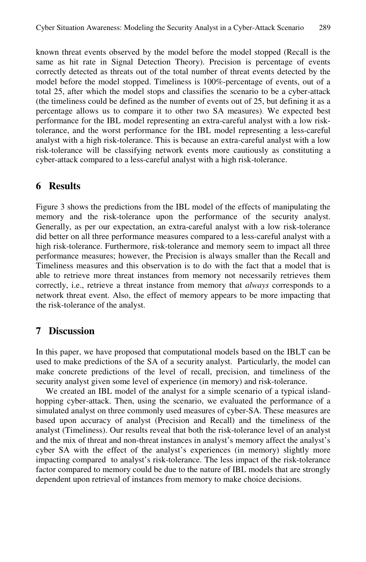known threat events observed by the model before the model stopped (Recall is the same as hit rate in Signal Detection Theory). Precision is percentage of events correctly detected as threats out of the total number of threat events detected by the model before the model stopped. Timeliness is 100%-percentage of events, out of a total 25, after which the model stops and classifies the scenario to be a cyber-attack (the timeliness could be defined as the number of events out of 25, but defining it as a percentage allows us to compare it to other two SA measures). We expected best performance for the IBL model representing an extra-careful analyst with a low risktolerance, and the worst performance for the IBL model representing a less-careful analyst with a high risk-tolerance. This is because an extra-careful analyst with a low risk-tolerance will be classifying network events more cautiously as constituting a cyber-attack compared to a less-careful analyst with a high risk-tolerance.

### **6 Results**

Figure 3 shows the predictions from the IBL model of the effects of manipulating the memory and the risk-tolerance upon the performance of the security analyst. Generally, as per our expectation, an extra-careful analyst with a low risk-tolerance did better on all three performance measures compared to a less-careful analyst with a high risk-tolerance. Furthermore, risk-tolerance and memory seem to impact all three performance measures; however, the Precision is always smaller than the Recall and Timeliness measures and this observation is to do with the fact that a model that is able to retrieve more threat instances from memory not necessarily retrieves them correctly, i.e., retrieve a threat instance from memory that *always* corresponds to a network threat event. Also, the effect of memory appears to be more impacting that the risk-tolerance of the analyst.

### **7 Discussion**

In this paper, we have proposed that computational models based on the IBLT can be used to make predictions of the SA of a security analyst. Particularly, the model can make concrete predictions of the level of recall, precision, and timeliness of the security analyst given some level of experience (in memory) and risk-tolerance.

We created an IBL model of the analyst for a simple scenario of a typical islandhopping cyber-attack. Then, using the scenario, we evaluated the performance of a simulated analyst on three commonly used measures of cyber-SA. These measures are based upon accuracy of analyst (Precision and Recall) and the timeliness of the analyst (Timeliness). Our results reveal that both the risk-tolerance level of an analyst and the mix of threat and non-threat instances in analyst's memory affect the analyst's cyber SA with the effect of the analyst's experiences (in memory) slightly more impacting compared to analyst's risk-tolerance. The less impact of the risk-tolerance factor compared to memory could be due to the nature of IBL models that are strongly dependent upon retrieval of instances from memory to make choice decisions.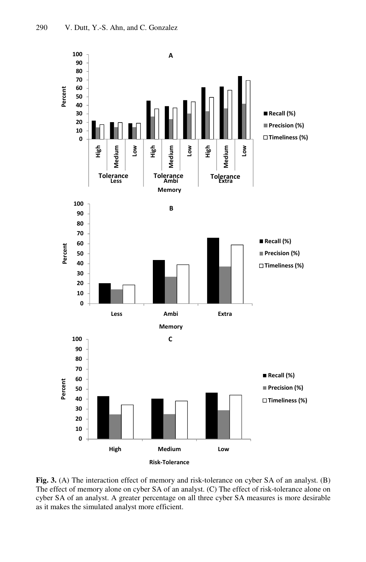

**Fig. 3.** (A) The interaction effect of memory and risk-tolerance on cyber SA of an analyst. (B) The effect of memory alone on cyber SA of an analyst. (C) The effect of risk-tolerance alone on cyber SA of an analyst. A greater percentage on all three cyber SA measures is more desirable as it makes the simulated analyst more efficient.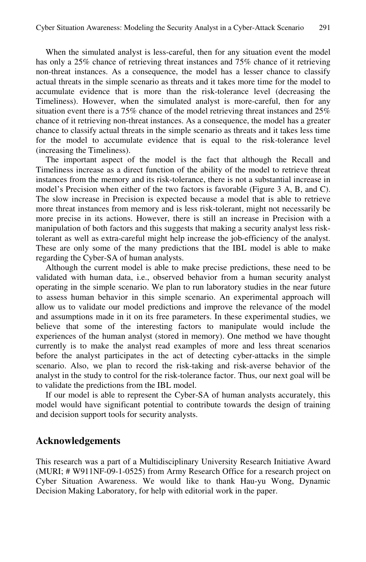When the simulated analyst is less-careful, then for any situation event the model has only a 25% chance of retrieving threat instances and 75% chance of it retrieving non-threat instances. As a consequence, the model has a lesser chance to classify actual threats in the simple scenario as threats and it takes more time for the model to accumulate evidence that is more than the risk-tolerance level (decreasing the Timeliness). However, when the simulated analyst is more-careful, then for any situation event there is a 75% chance of the model retrieving threat instances and 25% chance of it retrieving non-threat instances. As a consequence, the model has a greater chance to classify actual threats in the simple scenario as threats and it takes less time for the model to accumulate evidence that is equal to the risk-tolerance level (increasing the Timeliness).

The important aspect of the model is the fact that although the Recall and Timeliness increase as a direct function of the ability of the model to retrieve threat instances from the memory and its risk-tolerance, there is not a substantial increase in model's Precision when either of the two factors is favorable (Figure 3 A, B, and C). The slow increase in Precision is expected because a model that is able to retrieve more threat instances from memory and is less risk-tolerant, might not necessarily be more precise in its actions. However, there is still an increase in Precision with a manipulation of both factors and this suggests that making a security analyst less risktolerant as well as extra-careful might help increase the job-efficiency of the analyst. These are only some of the many predictions that the IBL model is able to make regarding the Cyber-SA of human analysts.

Although the current model is able to make precise predictions, these need to be validated with human data, i.e., observed behavior from a human security analyst operating in the simple scenario. We plan to run laboratory studies in the near future to assess human behavior in this simple scenario. An experimental approach will allow us to validate our model predictions and improve the relevance of the model and assumptions made in it on its free parameters. In these experimental studies, we believe that some of the interesting factors to manipulate would include the experiences of the human analyst (stored in memory). One method we have thought currently is to make the analyst read examples of more and less threat scenarios before the analyst participates in the act of detecting cyber-attacks in the simple scenario. Also, we plan to record the risk-taking and risk-averse behavior of the analyst in the study to control for the risk-tolerance factor. Thus, our next goal will be to validate the predictions from the IBL model.

If our model is able to represent the Cyber-SA of human analysts accurately, this model would have significant potential to contribute towards the design of training and decision support tools for security analysts.

#### **Acknowledgements**

This research was a part of a Multidisciplinary University Research Initiative Award (MURI; # W911NF-09-1-0525) from Army Research Office for a research project on Cyber Situation Awareness. We would like to thank Hau-yu Wong, Dynamic Decision Making Laboratory, for help with editorial work in the paper.